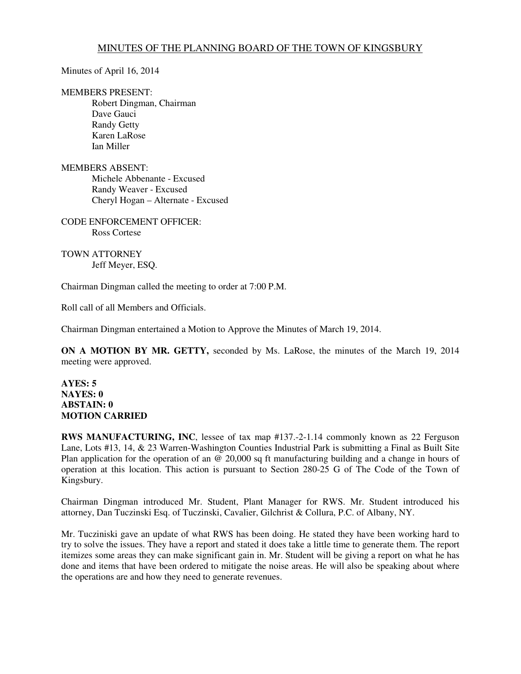## MINUTES OF THE PLANNING BOARD OF THE TOWN OF KINGSBURY

Minutes of April 16, 2014

## MEMBERS PRESENT:

 Robert Dingman, Chairman Dave Gauci Randy Getty Karen LaRose Ian Miller

## MEMBERS ABSENT:

 Michele Abbenante - Excused Randy Weaver - Excused Cheryl Hogan – Alternate - Excused

CODE ENFORCEMENT OFFICER: Ross Cortese

TOWN ATTORNEY Jeff Meyer, ESQ.

Chairman Dingman called the meeting to order at 7:00 P.M.

Roll call of all Members and Officials.

Chairman Dingman entertained a Motion to Approve the Minutes of March 19, 2014.

**ON A MOTION BY MR. GETTY,** seconded by Ms. LaRose, the minutes of the March 19, 2014 meeting were approved.

## **AYES: 5 NAYES: 0 ABSTAIN: 0 MOTION CARRIED**

**RWS MANUFACTURING, INC.** lessee of tax map #137.-2-1.14 commonly known as 22 Ferguson Lane, Lots #13, 14, & 23 Warren-Washington Counties Industrial Park is submitting a Final as Built Site Plan application for the operation of an @ 20,000 sq ft manufacturing building and a change in hours of operation at this location. This action is pursuant to Section 280-25 G of The Code of the Town of Kingsbury.

Chairman Dingman introduced Mr. Student, Plant Manager for RWS. Mr. Student introduced his attorney, Dan Tuczinski Esq. of Tuczinski, Cavalier, Gilchrist & Collura, P.C. of Albany, NY.

Mr. Tucziniski gave an update of what RWS has been doing. He stated they have been working hard to try to solve the issues. They have a report and stated it does take a little time to generate them. The report itemizes some areas they can make significant gain in. Mr. Student will be giving a report on what he has done and items that have been ordered to mitigate the noise areas. He will also be speaking about where the operations are and how they need to generate revenues.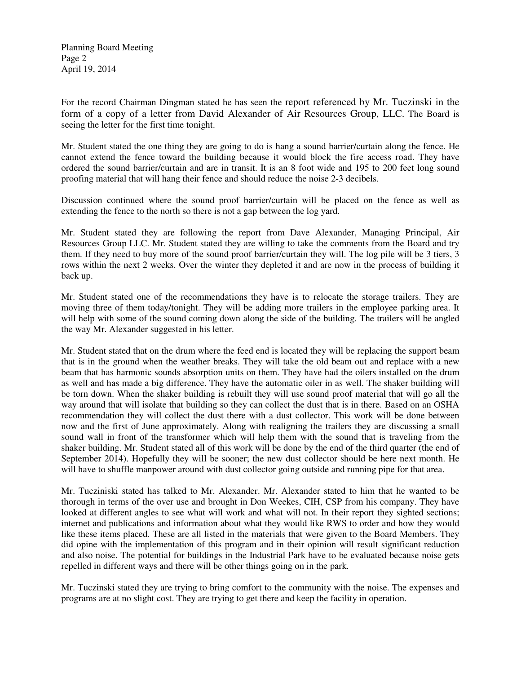Planning Board Meeting Page 2 April 19, 2014

For the record Chairman Dingman stated he has seen the report referenced by Mr. Tuczinski in the form of a copy of a letter from David Alexander of Air Resources Group, LLC. The Board is seeing the letter for the first time tonight.

Mr. Student stated the one thing they are going to do is hang a sound barrier/curtain along the fence. He cannot extend the fence toward the building because it would block the fire access road. They have ordered the sound barrier/curtain and are in transit. It is an 8 foot wide and 195 to 200 feet long sound proofing material that will hang their fence and should reduce the noise 2-3 decibels.

Discussion continued where the sound proof barrier/curtain will be placed on the fence as well as extending the fence to the north so there is not a gap between the log yard.

Mr. Student stated they are following the report from Dave Alexander, Managing Principal, Air Resources Group LLC. Mr. Student stated they are willing to take the comments from the Board and try them. If they need to buy more of the sound proof barrier/curtain they will. The log pile will be 3 tiers, 3 rows within the next 2 weeks. Over the winter they depleted it and are now in the process of building it back up.

Mr. Student stated one of the recommendations they have is to relocate the storage trailers. They are moving three of them today/tonight. They will be adding more trailers in the employee parking area. It will help with some of the sound coming down along the side of the building. The trailers will be angled the way Mr. Alexander suggested in his letter.

Mr. Student stated that on the drum where the feed end is located they will be replacing the support beam that is in the ground when the weather breaks. They will take the old beam out and replace with a new beam that has harmonic sounds absorption units on them. They have had the oilers installed on the drum as well and has made a big difference. They have the automatic oiler in as well. The shaker building will be torn down. When the shaker building is rebuilt they will use sound proof material that will go all the way around that will isolate that building so they can collect the dust that is in there. Based on an OSHA recommendation they will collect the dust there with a dust collector. This work will be done between now and the first of June approximately. Along with realigning the trailers they are discussing a small sound wall in front of the transformer which will help them with the sound that is traveling from the shaker building. Mr. Student stated all of this work will be done by the end of the third quarter (the end of September 2014). Hopefully they will be sooner; the new dust collector should be here next month. He will have to shuffle manpower around with dust collector going outside and running pipe for that area.

Mr. Tucziniski stated has talked to Mr. Alexander. Mr. Alexander stated to him that he wanted to be thorough in terms of the over use and brought in Don Weekes, CIH, CSP from his company. They have looked at different angles to see what will work and what will not. In their report they sighted sections; internet and publications and information about what they would like RWS to order and how they would like these items placed. These are all listed in the materials that were given to the Board Members. They did opine with the implementation of this program and in their opinion will result significant reduction and also noise. The potential for buildings in the Industrial Park have to be evaluated because noise gets repelled in different ways and there will be other things going on in the park.

Mr. Tuczinski stated they are trying to bring comfort to the community with the noise. The expenses and programs are at no slight cost. They are trying to get there and keep the facility in operation.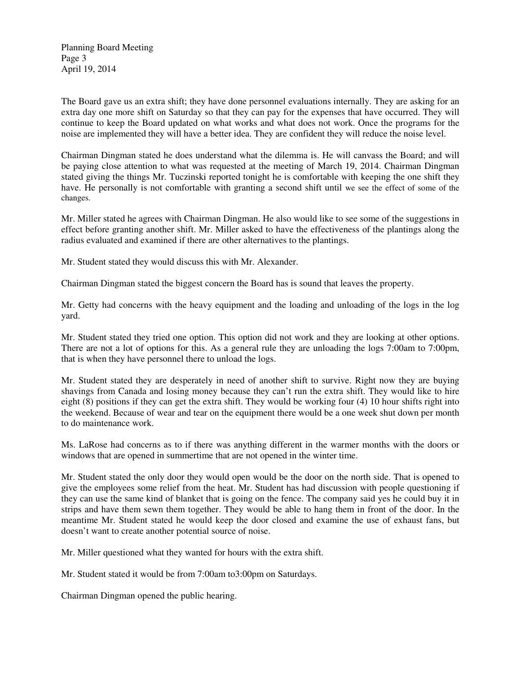Planning Board Meeting Page 3 April 19, 2014

The Board gave us an extra shift; they have done personnel evaluations internally. They are asking for an extra day one more shift on Saturday so that they can pay for the expenses that have occurred. They will continue to keep the Board updated on what works and what does not work. Once the programs for the noise are implemented they will have a better idea. They are confident they will reduce the noise level.

Chairman Dingman stated he does understand what the dilemma is. He will canvass the Board; and will be paying close attention to what was requested at the meeting of March 19, 2014. Chairman Dingman stated giving the things Mr. Tuczinski reported tonight he is comfortable with keeping the one shift they have. He personally is not comfortable with granting a second shift until we see the effect of some of the changes.

Mr. Miller stated he agrees with Chairman Dingman. He also would like to see some of the suggestions in effect before granting another shift. Mr. Miller asked to have the effectiveness of the plantings along the radius evaluated and examined if there are other alternatives to the plantings.

Mr. Student stated they would discuss this with Mr. Alexander.

Chairman Dingman stated the biggest concern the Board has is sound that leaves the property.

Mr. Getty had concerns with the heavy equipment and the loading and unloading of the logs in the log yard.

Mr. Student stated they tried one option. This option did not work and they are looking at other options. There are not a lot of options for this. As a general rule they are unloading the logs 7:00am to 7:00pm, that is when they have personnel there to unload the logs.

Mr. Student stated they are desperately in need of another shift to survive. Right now they are buying shavings from Canada and losing money because they can't run the extra shift. They would like to hire eight (8) positions if they can get the extra shift. They would be working four (4) 10 hour shifts right into the weekend. Because of wear and tear on the equipment there would be a one week shut down per month to do maintenance work.

Ms. LaRose had concerns as to if there was anything different in the warmer months with the doors or windows that are opened in summertime that are not opened in the winter time.

Mr. Student stated the only door they would open would be the door on the north side. That is opened to give the employees some relief from the heat. Mr. Student has had discussion with people questioning if they can use the same kind of blanket that is going on the fence. The company said yes he could buy it in strips and have them sewn them together. They would be able to hang them in front of the door. In the meantime Mr. Student stated he would keep the door closed and examine the use of exhaust fans, but doesn't want to create another potential source of noise.

Mr. Miller questioned what they wanted for hours with the extra shift.

Mr. Student stated it would be from 7:00am to3:00pm on Saturdays.

Chairman Dingman opened the public hearing.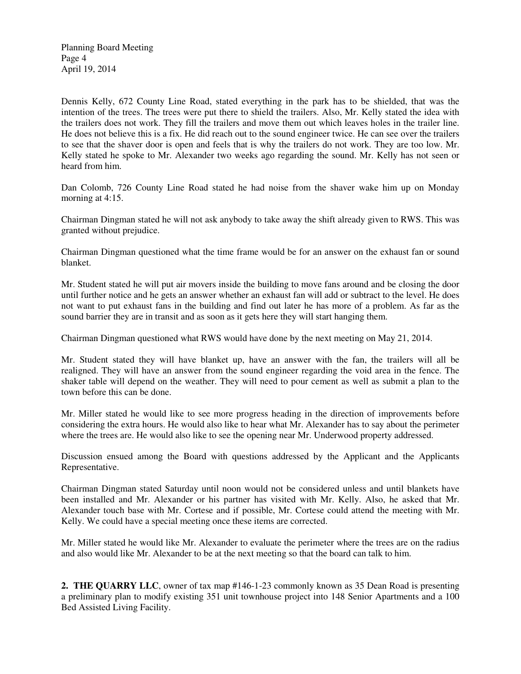Planning Board Meeting Page 4 April 19, 2014

Dennis Kelly, 672 County Line Road, stated everything in the park has to be shielded, that was the intention of the trees. The trees were put there to shield the trailers. Also, Mr. Kelly stated the idea with the trailers does not work. They fill the trailers and move them out which leaves holes in the trailer line. He does not believe this is a fix. He did reach out to the sound engineer twice. He can see over the trailers to see that the shaver door is open and feels that is why the trailers do not work. They are too low. Mr. Kelly stated he spoke to Mr. Alexander two weeks ago regarding the sound. Mr. Kelly has not seen or heard from him.

Dan Colomb, 726 County Line Road stated he had noise from the shaver wake him up on Monday morning at 4:15.

Chairman Dingman stated he will not ask anybody to take away the shift already given to RWS. This was granted without prejudice.

Chairman Dingman questioned what the time frame would be for an answer on the exhaust fan or sound blanket.

Mr. Student stated he will put air movers inside the building to move fans around and be closing the door until further notice and he gets an answer whether an exhaust fan will add or subtract to the level. He does not want to put exhaust fans in the building and find out later he has more of a problem. As far as the sound barrier they are in transit and as soon as it gets here they will start hanging them.

Chairman Dingman questioned what RWS would have done by the next meeting on May 21, 2014.

Mr. Student stated they will have blanket up, have an answer with the fan, the trailers will all be realigned. They will have an answer from the sound engineer regarding the void area in the fence. The shaker table will depend on the weather. They will need to pour cement as well as submit a plan to the town before this can be done.

Mr. Miller stated he would like to see more progress heading in the direction of improvements before considering the extra hours. He would also like to hear what Mr. Alexander has to say about the perimeter where the trees are. He would also like to see the opening near Mr. Underwood property addressed.

Discussion ensued among the Board with questions addressed by the Applicant and the Applicants Representative.

Chairman Dingman stated Saturday until noon would not be considered unless and until blankets have been installed and Mr. Alexander or his partner has visited with Mr. Kelly. Also, he asked that Mr. Alexander touch base with Mr. Cortese and if possible, Mr. Cortese could attend the meeting with Mr. Kelly. We could have a special meeting once these items are corrected.

Mr. Miller stated he would like Mr. Alexander to evaluate the perimeter where the trees are on the radius and also would like Mr. Alexander to be at the next meeting so that the board can talk to him.

**2. THE QUARRY LLC**, owner of tax map #146-1-23 commonly known as 35 Dean Road is presenting a preliminary plan to modify existing 351 unit townhouse project into 148 Senior Apartments and a 100 Bed Assisted Living Facility.